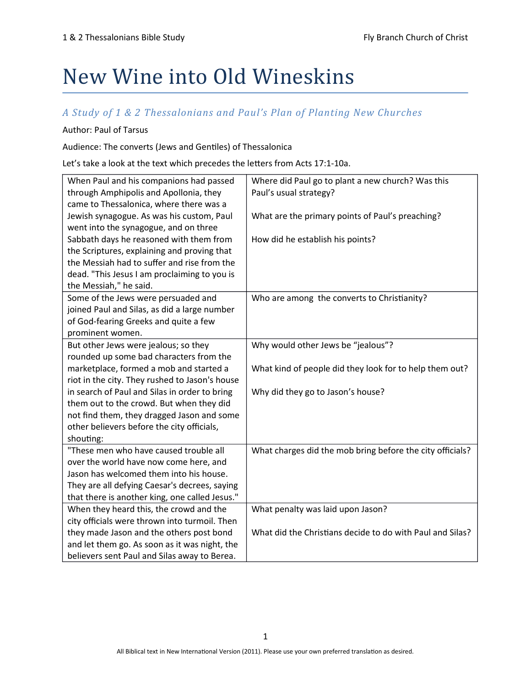# New Wine into Old Wineskins

## A Study of 1 & 2 Thessalonians and Paul's Plan of Planting New Churches

#### Author: Paul of Tarsus

Audience: The converts (Jews and Gentiles) of Thessalonica

Let's take a look at the text which precedes the letters from Acts 17:1-10a.

| When Paul and his companions had passed        | Where did Paul go to plant a new church? Was this         |
|------------------------------------------------|-----------------------------------------------------------|
| through Amphipolis and Apollonia, they         | Paul's usual strategy?                                    |
| came to Thessalonica, where there was a        |                                                           |
| Jewish synagogue. As was his custom, Paul      | What are the primary points of Paul's preaching?          |
| went into the synagogue, and on three          |                                                           |
| Sabbath days he reasoned with them from        | How did he establish his points?                          |
| the Scriptures, explaining and proving that    |                                                           |
| the Messiah had to suffer and rise from the    |                                                           |
| dead. "This Jesus I am proclaiming to you is   |                                                           |
| the Messiah," he said.                         |                                                           |
| Some of the Jews were persuaded and            | Who are among the converts to Christianity?               |
| joined Paul and Silas, as did a large number   |                                                           |
| of God-fearing Greeks and quite a few          |                                                           |
| prominent women.                               |                                                           |
| But other Jews were jealous; so they           | Why would other Jews be "jealous"?                        |
| rounded up some bad characters from the        |                                                           |
| marketplace, formed a mob and started a        | What kind of people did they look for to help them out?   |
| riot in the city. They rushed to Jason's house |                                                           |
| in search of Paul and Silas in order to bring  | Why did they go to Jason's house?                         |
| them out to the crowd. But when they did       |                                                           |
| not find them, they dragged Jason and some     |                                                           |
| other believers before the city officials,     |                                                           |
| shouting:                                      |                                                           |
| "These men who have caused trouble all         | What charges did the mob bring before the city officials? |
| over the world have now come here, and         |                                                           |
| Jason has welcomed them into his house.        |                                                           |
| They are all defying Caesar's decrees, saying  |                                                           |
| that there is another king, one called Jesus." |                                                           |
| When they heard this, the crowd and the        | What penalty was laid upon Jason?                         |
| city officials were thrown into turmoil. Then  |                                                           |
| they made Jason and the others post bond       | What did the Christians decide to do with Paul and Silas? |
| and let them go. As soon as it was night, the  |                                                           |
| believers sent Paul and Silas away to Berea.   |                                                           |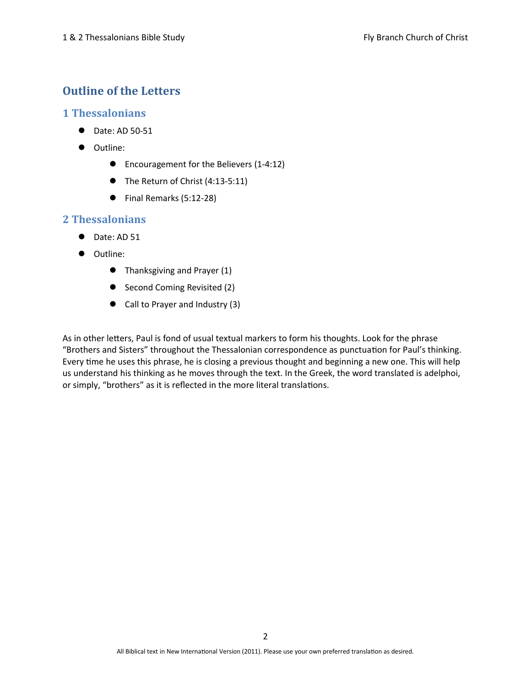# Outline of the Letters

#### 1 Thessalonians

- Date: AD 50-51
- $\bullet$  Outline:
	- Encouragement for the Believers (1-4:12)
	- The Return of Christ (4:13-5:11)
	- Final Remarks (5:12-28)

#### 2 Thessalonians

- $\bullet$  Date: AD 51
- $\bullet$  Outline:
	- Thanksgiving and Prayer (1)
	- Second Coming Revisited (2)
	- Call to Prayer and Industry (3)

As in other letters, Paul is fond of usual textual markers to form his thoughts. Look for the phrase "Brothers and Sisters" throughout the Thessalonian correspondence as punctuation for Paul's thinking. Every time he uses this phrase, he is closing a previous thought and beginning a new one. This will help us understand his thinking as he moves through the text. In the Greek, the word translated is adelphoi, or simply, "brothers" as it is reflected in the more literal translations.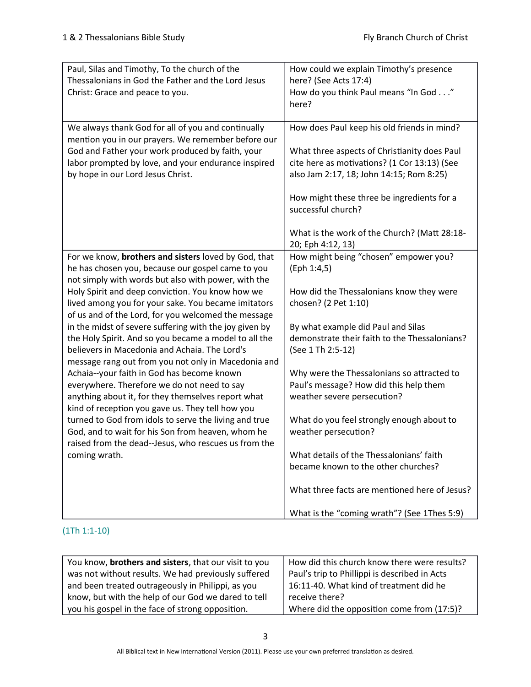| Paul, Silas and Timothy, To the church of the<br>Thessalonians in God the Father and the Lord Jesus<br>Christ: Grace and peace to you.                                                                                  | How could we explain Timothy's presence<br>here? (See Acts 17:4)<br>How do you think Paul means "In God"<br>here?   |
|-------------------------------------------------------------------------------------------------------------------------------------------------------------------------------------------------------------------------|---------------------------------------------------------------------------------------------------------------------|
| We always thank God for all of you and continually<br>mention you in our prayers. We remember before our<br>God and Father your work produced by faith, your                                                            | How does Paul keep his old friends in mind?<br>What three aspects of Christianity does Paul                         |
| labor prompted by love, and your endurance inspired<br>by hope in our Lord Jesus Christ.                                                                                                                                | cite here as motivations? (1 Cor 13:13) (See<br>also Jam 2:17, 18; John 14:15; Rom 8:25)                            |
|                                                                                                                                                                                                                         | How might these three be ingredients for a<br>successful church?                                                    |
|                                                                                                                                                                                                                         | What is the work of the Church? (Matt 28:18-<br>20; Eph 4:12, 13)                                                   |
| For we know, brothers and sisters loved by God, that<br>he has chosen you, because our gospel came to you<br>not simply with words but also with power, with the                                                        | How might being "chosen" empower you?<br>(Eph 1:4,5)                                                                |
| Holy Spirit and deep conviction. You know how we<br>lived among you for your sake. You became imitators<br>of us and of the Lord, for you welcomed the message                                                          | How did the Thessalonians know they were<br>chosen? (2 Pet 1:10)                                                    |
| in the midst of severe suffering with the joy given by<br>the Holy Spirit. And so you became a model to all the<br>believers in Macedonia and Achaia. The Lord's<br>message rang out from you not only in Macedonia and | By what example did Paul and Silas<br>demonstrate their faith to the Thessalonians?<br>(See 1 Th 2:5-12)            |
| Achaia--your faith in God has become known<br>everywhere. Therefore we do not need to say<br>anything about it, for they themselves report what<br>kind of reception you gave us. They tell how you                     | Why were the Thessalonians so attracted to<br>Paul's message? How did this help them<br>weather severe persecution? |
| turned to God from idols to serve the living and true<br>God, and to wait for his Son from heaven, whom he<br>raised from the dead--Jesus, who rescues us from the                                                      | What do you feel strongly enough about to<br>weather persecution?                                                   |
| coming wrath.                                                                                                                                                                                                           | What details of the Thessalonians' faith<br>became known to the other churches?                                     |
|                                                                                                                                                                                                                         | What three facts are mentioned here of Jesus?                                                                       |
|                                                                                                                                                                                                                         | What is the "coming wrath"? (See 1Thes 5:9)                                                                         |

#### (1Th 1:1-10)

| You know, brothers and sisters, that our visit to you | How did this church know there were results?  |
|-------------------------------------------------------|-----------------------------------------------|
| was not without results. We had previously suffered   | Paul's trip to Phillippi is described in Acts |
| and been treated outrageously in Philippi, as you     | 16:11-40. What kind of treatment did he       |
| know, but with the help of our God we dared to tell   | receive there?                                |
| you his gospel in the face of strong opposition.      | Where did the opposition come from (17:5)?    |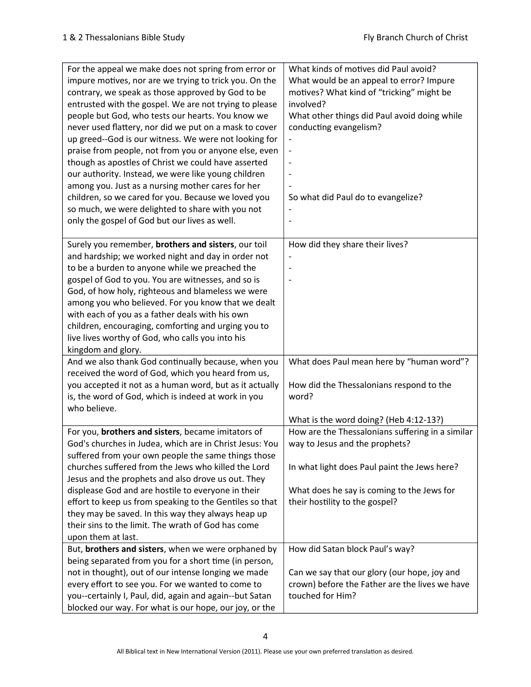| For the appeal we make does not spring from error or                                                                                                                                                                                                                                                                                                                                                                  | What kinds of motives did Paul avoid?                                                                                                                 |
|-----------------------------------------------------------------------------------------------------------------------------------------------------------------------------------------------------------------------------------------------------------------------------------------------------------------------------------------------------------------------------------------------------------------------|-------------------------------------------------------------------------------------------------------------------------------------------------------|
| impure motives, nor are we trying to trick you. On the                                                                                                                                                                                                                                                                                                                                                                | What would be an appeal to error? Impure                                                                                                              |
| contrary, we speak as those approved by God to be                                                                                                                                                                                                                                                                                                                                                                     | motives? What kind of "tricking" might be                                                                                                             |
| entrusted with the gospel. We are not trying to please                                                                                                                                                                                                                                                                                                                                                                | involved?                                                                                                                                             |
| people but God, who tests our hearts. You know we                                                                                                                                                                                                                                                                                                                                                                     | What other things did Paul avoid doing while                                                                                                          |
| never used flattery, nor did we put on a mask to cover                                                                                                                                                                                                                                                                                                                                                                | conducting evangelism?                                                                                                                                |
| up greed--God is our witness. We were not looking for                                                                                                                                                                                                                                                                                                                                                                 |                                                                                                                                                       |
| praise from people, not from you or anyone else, even                                                                                                                                                                                                                                                                                                                                                                 |                                                                                                                                                       |
| though as apostles of Christ we could have asserted                                                                                                                                                                                                                                                                                                                                                                   |                                                                                                                                                       |
| our authority. Instead, we were like young children                                                                                                                                                                                                                                                                                                                                                                   |                                                                                                                                                       |
| among you. Just as a nursing mother cares for her                                                                                                                                                                                                                                                                                                                                                                     |                                                                                                                                                       |
| children, so we cared for you. Because we loved you                                                                                                                                                                                                                                                                                                                                                                   | So what did Paul do to evangelize?                                                                                                                    |
| so much, we were delighted to share with you not                                                                                                                                                                                                                                                                                                                                                                      |                                                                                                                                                       |
| only the gospel of God but our lives as well.                                                                                                                                                                                                                                                                                                                                                                         |                                                                                                                                                       |
|                                                                                                                                                                                                                                                                                                                                                                                                                       |                                                                                                                                                       |
| Surely you remember, brothers and sisters, our toil                                                                                                                                                                                                                                                                                                                                                                   | How did they share their lives?                                                                                                                       |
| and hardship; we worked night and day in order not                                                                                                                                                                                                                                                                                                                                                                    |                                                                                                                                                       |
| to be a burden to anyone while we preached the                                                                                                                                                                                                                                                                                                                                                                        |                                                                                                                                                       |
| gospel of God to you. You are witnesses, and so is                                                                                                                                                                                                                                                                                                                                                                    |                                                                                                                                                       |
| God, of how holy, righteous and blameless we were                                                                                                                                                                                                                                                                                                                                                                     |                                                                                                                                                       |
| among you who believed. For you know that we dealt                                                                                                                                                                                                                                                                                                                                                                    |                                                                                                                                                       |
| with each of you as a father deals with his own                                                                                                                                                                                                                                                                                                                                                                       |                                                                                                                                                       |
| children, encouraging, comforting and urging you to                                                                                                                                                                                                                                                                                                                                                                   |                                                                                                                                                       |
| live lives worthy of God, who calls you into his                                                                                                                                                                                                                                                                                                                                                                      |                                                                                                                                                       |
| kingdom and glory.                                                                                                                                                                                                                                                                                                                                                                                                    |                                                                                                                                                       |
| And we also thank God continually because, when you                                                                                                                                                                                                                                                                                                                                                                   | What does Paul mean here by "human word"?                                                                                                             |
| received the word of God, which you heard from us,                                                                                                                                                                                                                                                                                                                                                                    |                                                                                                                                                       |
| you accepted it not as a human word, but as it actually                                                                                                                                                                                                                                                                                                                                                               | How did the Thessalonians respond to the                                                                                                              |
| is, the word of God, which is indeed at work in you                                                                                                                                                                                                                                                                                                                                                                   | word?                                                                                                                                                 |
| who believe.                                                                                                                                                                                                                                                                                                                                                                                                          |                                                                                                                                                       |
|                                                                                                                                                                                                                                                                                                                                                                                                                       | What is the word doing? (Heb 4:12-13?)                                                                                                                |
| For you, brothers and sisters, became imitators of                                                                                                                                                                                                                                                                                                                                                                    | How are the Thessalonians suffering in a similar                                                                                                      |
| God's churches in Judea, which are in Christ Jesus: You                                                                                                                                                                                                                                                                                                                                                               | way to Jesus and the prophets?                                                                                                                        |
| suffered from your own people the same things those                                                                                                                                                                                                                                                                                                                                                                   |                                                                                                                                                       |
| churches suffered from the Jews who killed the Lord                                                                                                                                                                                                                                                                                                                                                                   | In what light does Paul paint the Jews here?                                                                                                          |
| Jesus and the prophets and also drove us out. They                                                                                                                                                                                                                                                                                                                                                                    |                                                                                                                                                       |
| displease God and are hostile to everyone in their                                                                                                                                                                                                                                                                                                                                                                    | What does he say is coming to the Jews for                                                                                                            |
| effort to keep us from speaking to the Gentiles so that                                                                                                                                                                                                                                                                                                                                                               | their hostility to the gospel?                                                                                                                        |
|                                                                                                                                                                                                                                                                                                                                                                                                                       |                                                                                                                                                       |
|                                                                                                                                                                                                                                                                                                                                                                                                                       |                                                                                                                                                       |
|                                                                                                                                                                                                                                                                                                                                                                                                                       |                                                                                                                                                       |
|                                                                                                                                                                                                                                                                                                                                                                                                                       |                                                                                                                                                       |
|                                                                                                                                                                                                                                                                                                                                                                                                                       |                                                                                                                                                       |
|                                                                                                                                                                                                                                                                                                                                                                                                                       |                                                                                                                                                       |
|                                                                                                                                                                                                                                                                                                                                                                                                                       |                                                                                                                                                       |
|                                                                                                                                                                                                                                                                                                                                                                                                                       |                                                                                                                                                       |
|                                                                                                                                                                                                                                                                                                                                                                                                                       |                                                                                                                                                       |
| they may be saved. In this way they always heap up<br>their sins to the limit. The wrath of God has come<br>upon them at last.<br>But, brothers and sisters, when we were orphaned by<br>being separated from you for a short time (in person,<br>not in thought), out of our intense longing we made<br>every effort to see you. For we wanted to come to<br>you--certainly I, Paul, did, again and again--but Satan | How did Satan block Paul's way?<br>Can we say that our glory (our hope, joy and<br>crown) before the Father are the lives we have<br>touched for Him? |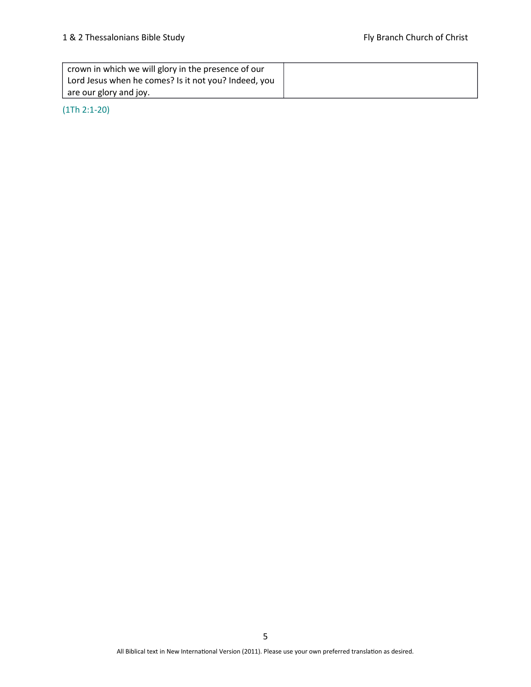| crown in which we will glory in the presence of our  |  |
|------------------------------------------------------|--|
| Lord Jesus when he comes? Is it not you? Indeed, you |  |
| are our glory and joy.                               |  |

(1Th 2:1-20)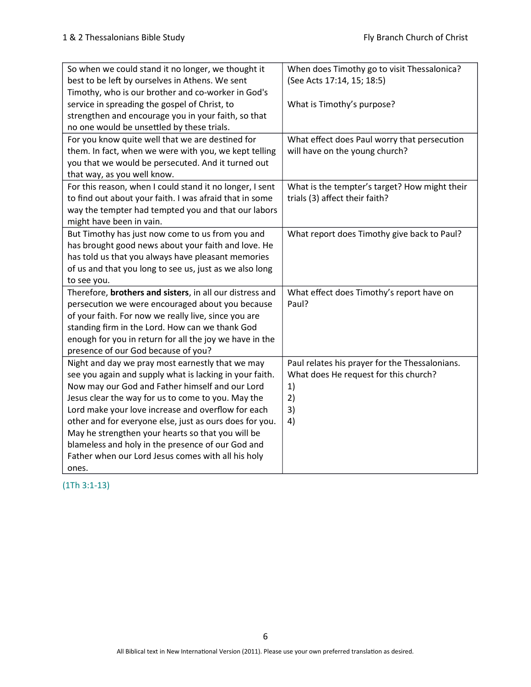| So when we could stand it no longer, we thought it       | When does Timothy go to visit Thessalonica?    |
|----------------------------------------------------------|------------------------------------------------|
| best to be left by ourselves in Athens. We sent          | (See Acts 17:14, 15; 18:5)                     |
| Timothy, who is our brother and co-worker in God's       |                                                |
| service in spreading the gospel of Christ, to            | What is Timothy's purpose?                     |
| strengthen and encourage you in your faith, so that      |                                                |
| no one would be unsettled by these trials.               |                                                |
| For you know quite well that we are destined for         | What effect does Paul worry that persecution   |
| them. In fact, when we were with you, we kept telling    | will have on the young church?                 |
| you that we would be persecuted. And it turned out       |                                                |
| that way, as you well know.                              |                                                |
| For this reason, when I could stand it no longer, I sent | What is the tempter's target? How might their  |
| to find out about your faith. I was afraid that in some  | trials (3) affect their faith?                 |
| way the tempter had tempted you and that our labors      |                                                |
| might have been in vain.                                 |                                                |
| But Timothy has just now come to us from you and         | What report does Timothy give back to Paul?    |
| has brought good news about your faith and love. He      |                                                |
| has told us that you always have pleasant memories       |                                                |
| of us and that you long to see us, just as we also long  |                                                |
| to see you.                                              |                                                |
| Therefore, brothers and sisters, in all our distress and | What effect does Timothy's report have on      |
| persecution we were encouraged about you because         | Paul?                                          |
| of your faith. For now we really live, since you are     |                                                |
| standing firm in the Lord. How can we thank God          |                                                |
| enough for you in return for all the joy we have in the  |                                                |
| presence of our God because of you?                      |                                                |
| Night and day we pray most earnestly that we may         | Paul relates his prayer for the Thessalonians. |
| see you again and supply what is lacking in your faith.  | What does He request for this church?          |
| Now may our God and Father himself and our Lord          | 1)                                             |
| Jesus clear the way for us to come to you. May the       | 2)                                             |
| Lord make your love increase and overflow for each       | 3)                                             |
| other and for everyone else, just as ours does for you.  | 4)                                             |
| May he strengthen your hearts so that you will be        |                                                |
| blameless and holy in the presence of our God and        |                                                |
| Father when our Lord Jesus comes with all his holy       |                                                |
| ones.                                                    |                                                |

(1Th 3:1-13)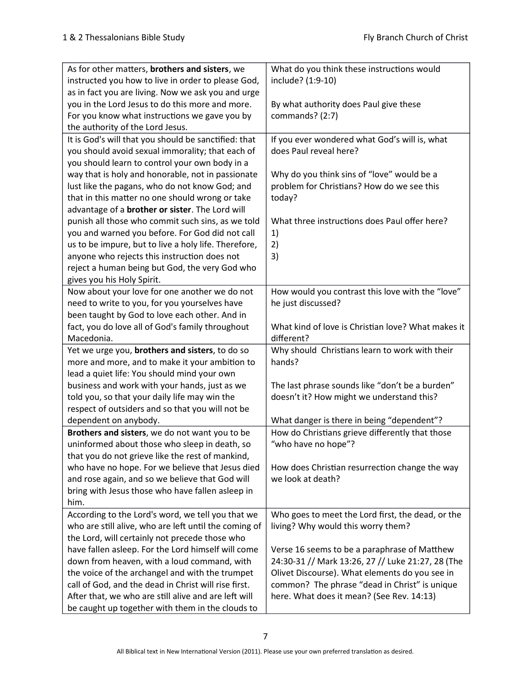| As for other matters, brothers and sisters, we          | What do you think these instructions would         |
|---------------------------------------------------------|----------------------------------------------------|
| instructed you how to live in order to please God,      | include? (1:9-10)                                  |
| as in fact you are living. Now we ask you and urge      |                                                    |
| you in the Lord Jesus to do this more and more.         | By what authority does Paul give these             |
| For you know what instructions we gave you by           | commands? (2:7)                                    |
| the authority of the Lord Jesus.                        |                                                    |
| It is God's will that you should be sanctified: that    | If you ever wondered what God's will is, what      |
| you should avoid sexual immorality; that each of        | does Paul reveal here?                             |
| you should learn to control your own body in a          |                                                    |
| way that is holy and honorable, not in passionate       | Why do you think sins of "love" would be a         |
| lust like the pagans, who do not know God; and          | problem for Christians? How do we see this         |
| that in this matter no one should wrong or take         | today?                                             |
| advantage of a <b>brother or sister</b> . The Lord will |                                                    |
| punish all those who commit such sins, as we told       | What three instructions does Paul offer here?      |
| you and warned you before. For God did not call         | 1)                                                 |
| us to be impure, but to live a holy life. Therefore,    | 2)                                                 |
| anyone who rejects this instruction does not            | 3)                                                 |
| reject a human being but God, the very God who          |                                                    |
| gives you his Holy Spirit.                              |                                                    |
| Now about your love for one another we do not           | How would you contrast this love with the "love"   |
| need to write to you, for you yourselves have           | he just discussed?                                 |
| been taught by God to love each other. And in           |                                                    |
| fact, you do love all of God's family throughout        | What kind of love is Christian love? What makes it |
| Macedonia.                                              | different?                                         |
| Yet we urge you, brothers and sisters, to do so         | Why should Christians learn to work with their     |
| more and more, and to make it your ambition to          | hands?                                             |
| lead a quiet life: You should mind your own             |                                                    |
| business and work with your hands, just as we           | The last phrase sounds like "don't be a burden"    |
| told you, so that your daily life may win the           | doesn't it? How might we understand this?          |
| respect of outsiders and so that you will not be        |                                                    |
| dependent on anybody.                                   | What danger is there in being "dependent"?         |
| Brothers and sisters, we do not want you to be          | How do Christians grieve differently that those    |
| uninformed about those who sleep in death, so           | "who have no hope"?                                |
| that you do not grieve like the rest of mankind,        |                                                    |
| who have no hope. For we believe that Jesus died        | How does Christian resurrection change the way     |
| and rose again, and so we believe that God will         | we look at death?                                  |
| bring with Jesus those who have fallen asleep in        |                                                    |
| him.                                                    |                                                    |
| According to the Lord's word, we tell you that we       | Who goes to meet the Lord first, the dead, or the  |
| who are still alive, who are left until the coming of   | living? Why would this worry them?                 |
| the Lord, will certainly not precede those who          |                                                    |
| have fallen asleep. For the Lord himself will come      | Verse 16 seems to be a paraphrase of Matthew       |
| down from heaven, with a loud command, with             | 24:30-31 // Mark 13:26, 27 // Luke 21:27, 28 (The  |
| the voice of the archangel and with the trumpet         | Olivet Discourse). What elements do you see in     |
| call of God, and the dead in Christ will rise first.    | common? The phrase "dead in Christ" is unique      |
| After that, we who are still alive and are left will    | here. What does it mean? (See Rev. 14:13)          |
| be caught up together with them in the clouds to        |                                                    |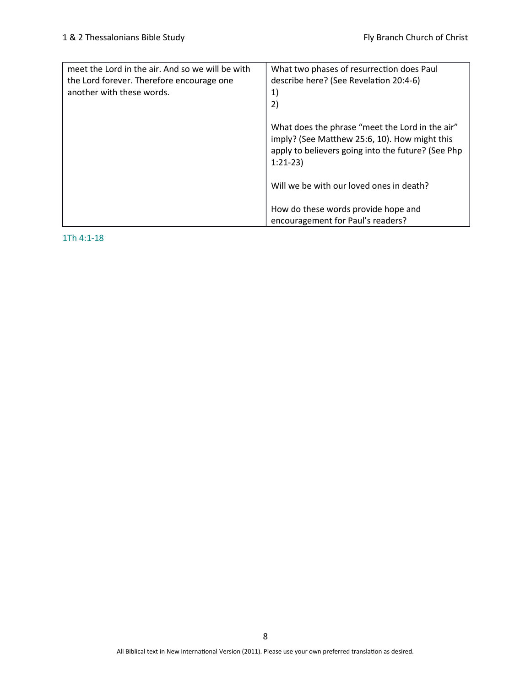| meet the Lord in the air. And so we will be with<br>the Lord forever. Therefore encourage one<br>another with these words. | What two phases of resurrection does Paul<br>describe here? (See Revelation 20:4-6)<br>1)<br>2)                                                                     |
|----------------------------------------------------------------------------------------------------------------------------|---------------------------------------------------------------------------------------------------------------------------------------------------------------------|
|                                                                                                                            | What does the phrase "meet the Lord in the air"<br>imply? (See Matthew 25:6, 10). How might this<br>apply to believers going into the future? (See Php<br>$1:21-23$ |
|                                                                                                                            | Will we be with our loved ones in death?                                                                                                                            |
|                                                                                                                            | How do these words provide hope and<br>encouragement for Paul's readers?                                                                                            |

1Th 4:1-18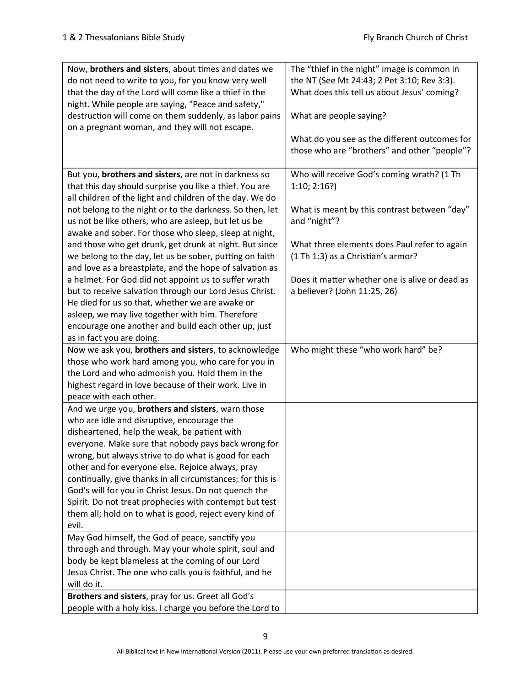| Now, brothers and sisters, about times and dates we        | The "thief in the night" image is common in    |
|------------------------------------------------------------|------------------------------------------------|
| do not need to write to you, for you know very well        | the NT (See Mt 24:43; 2 Pet 3:10; Rev 3:3).    |
| that the day of the Lord will come like a thief in the     | What does this tell us about Jesus' coming?    |
| night. While people are saying, "Peace and safety,"        |                                                |
| destruction will come on them suddenly, as labor pains     | What are people saying?                        |
| on a pregnant woman, and they will not escape.             |                                                |
|                                                            | What do you see as the different outcomes for  |
|                                                            | those who are "brothers" and other "people"?   |
|                                                            |                                                |
| But you, brothers and sisters, are not in darkness so      | Who will receive God's coming wrath? (1 Th     |
| that this day should surprise you like a thief. You are    | 1:10; 2:16?                                    |
| all children of the light and children of the day. We do   |                                                |
| not belong to the night or to the darkness. So then, let   | What is meant by this contrast between "day"   |
|                                                            |                                                |
| us not be like others, who are asleep, but let us be       | and "night"?                                   |
| awake and sober. For those who sleep, sleep at night,      |                                                |
| and those who get drunk, get drunk at night. But since     | What three elements does Paul refer to again   |
| we belong to the day, let us be sober, putting on faith    | (1 Th 1:3) as a Christian's armor?             |
| and love as a breastplate, and the hope of salvation as    |                                                |
| a helmet. For God did not appoint us to suffer wrath       | Does it matter whether one is alive or dead as |
| but to receive salvation through our Lord Jesus Christ.    | a believer? (John 11:25, 26)                   |
| He died for us so that, whether we are awake or            |                                                |
| asleep, we may live together with him. Therefore           |                                                |
| encourage one another and build each other up, just        |                                                |
| as in fact you are doing.                                  |                                                |
| Now we ask you, brothers and sisters, to acknowledge       | Who might these "who work hard" be?            |
| those who work hard among you, who care for you in         |                                                |
| the Lord and who admonish you. Hold them in the            |                                                |
| highest regard in love because of their work. Live in      |                                                |
| peace with each other.                                     |                                                |
| And we urge you, brothers and sisters, warn those          |                                                |
| who are idle and disruptive, encourage the                 |                                                |
| disheartened, help the weak, be patient with               |                                                |
| everyone. Make sure that nobody pays back wrong for        |                                                |
| wrong, but always strive to do what is good for each       |                                                |
| other and for everyone else. Rejoice always, pray          |                                                |
| continually, give thanks in all circumstances; for this is |                                                |
| God's will for you in Christ Jesus. Do not quench the      |                                                |
| Spirit. Do not treat prophecies with contempt but test     |                                                |
| them all; hold on to what is good, reject every kind of    |                                                |
| evil.                                                      |                                                |
| May God himself, the God of peace, sanctify you            |                                                |
| through and through. May your whole spirit, soul and       |                                                |
| body be kept blameless at the coming of our Lord           |                                                |
| Jesus Christ. The one who calls you is faithful, and he    |                                                |
| will do it.                                                |                                                |
|                                                            |                                                |
| Brothers and sisters, pray for us. Greet all God's         |                                                |
| people with a holy kiss. I charge you before the Lord to   |                                                |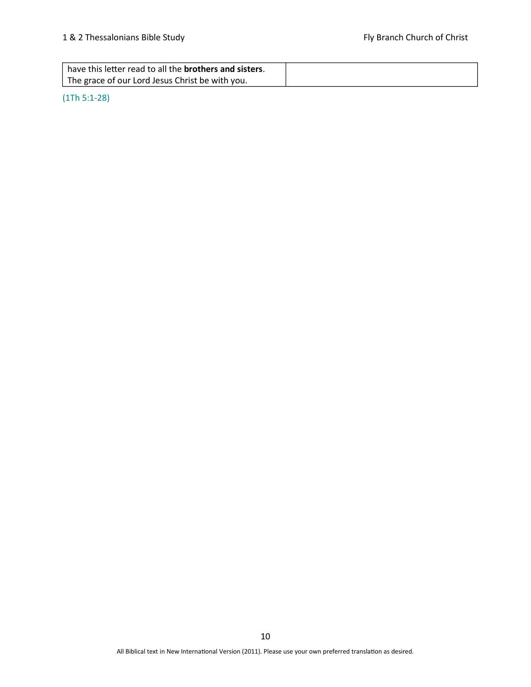| have this letter read to all the <b>brothers and sisters</b> . |  |
|----------------------------------------------------------------|--|
| The grace of our Lord Jesus Christ be with you.                |  |

### (1Th 5:1-28)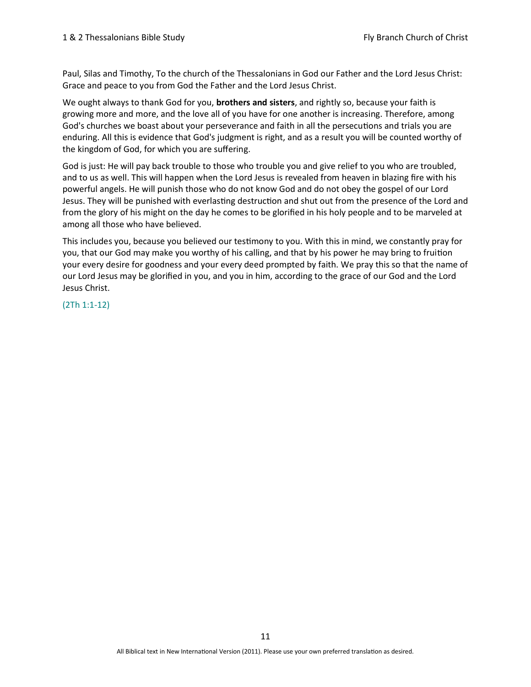Paul, Silas and Timothy, To the church of the Thessalonians in God our Father and the Lord Jesus Christ: Grace and peace to you from God the Father and the Lord Jesus Christ.

We ought always to thank God for you, **brothers and sisters**, and rightly so, because your faith is growing more and more, and the love all of you have for one another is increasing. Therefore, among God's churches we boast about your perseverance and faith in all the persecutions and trials you are enduring. All this is evidence that God's judgment is right, and as a result you will be counted worthy of the kingdom of God, for which you are suffering.

God is just: He will pay back trouble to those who trouble you and give relief to you who are troubled, and to us as well. This will happen when the Lord Jesus is revealed from heaven in blazing fire with his powerful angels. He will punish those who do not know God and do not obey the gospel of our Lord Jesus. They will be punished with everlasting destruction and shut out from the presence of the Lord and from the glory of his might on the day he comes to be glorified in his holy people and to be marveled at among all those who have believed.

This includes you, because you believed our testimony to you. With this in mind, we constantly pray for you, that our God may make you worthy of his calling, and that by his power he may bring to fruition your every desire for goodness and your every deed prompted by faith. We pray this so that the name of our Lord Jesus may be glorified in you, and you in him, according to the grace of our God and the Lord Jesus Christ.

(2Th 1:1-12)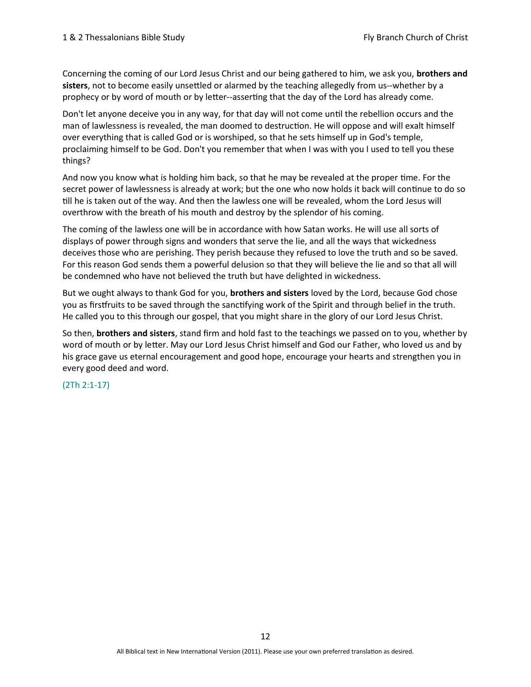Concerning the coming of our Lord Jesus Christ and our being gathered to him, we ask you, **brothers and** sisters, not to become easily unsettled or alarmed by the teaching allegedly from us--whether by a prophecy or by word of mouth or by letter--asserting that the day of the Lord has already come.

Don't let anyone deceive you in any way, for that day will not come until the rebellion occurs and the man of lawlessness is revealed, the man doomed to destruction. He will oppose and will exalt himself over everything that is called God or is worshiped, so that he sets himself up in God's temple, proclaiming himself to be God. Don't you remember that when I was with you I used to tell you these things?

And now you know what is holding him back, so that he may be revealed at the proper time. For the secret power of lawlessness is already at work; but the one who now holds it back will continue to do so till he is taken out of the way. And then the lawless one will be revealed, whom the Lord Jesus will overthrow with the breath of his mouth and destroy by the splendor of his coming.

The coming of the lawless one will be in accordance with how Satan works. He will use all sorts of displays of power through signs and wonders that serve the lie, and all the ways that wickedness deceives those who are perishing. They perish because they refused to love the truth and so be saved. For this reason God sends them a powerful delusion so that they will believe the lie and so that all will be condemned who have not believed the truth but have delighted in wickedness.

But we ought always to thank God for you, **brothers and sisters** loved by the Lord, because God chose you as firstfruits to be saved through the sanctifying work of the Spirit and through belief in the truth. He called you to this through our gospel, that you might share in the glory of our Lord Jesus Christ.

So then, brothers and sisters, stand firm and hold fast to the teachings we passed on to you, whether by word of mouth or by letter. May our Lord Jesus Christ himself and God our Father, who loved us and by his grace gave us eternal encouragement and good hope, encourage your hearts and strengthen you in every good deed and word.

#### (2Th 2:1-17)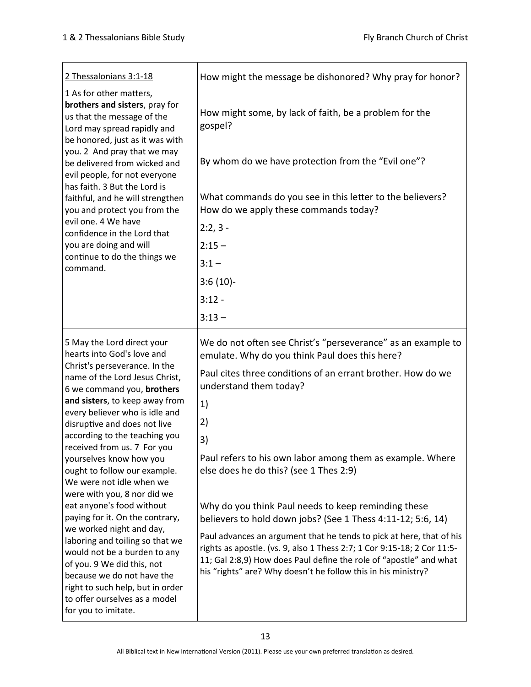| 2 Thessalonians 3:1-18                                                                                                                                                                                                                                                                                                                                                                                                                                                                    | How might the message be dishonored? Why pray for honor?                                                                                                                                                                                                                                                                                                                                                     |
|-------------------------------------------------------------------------------------------------------------------------------------------------------------------------------------------------------------------------------------------------------------------------------------------------------------------------------------------------------------------------------------------------------------------------------------------------------------------------------------------|--------------------------------------------------------------------------------------------------------------------------------------------------------------------------------------------------------------------------------------------------------------------------------------------------------------------------------------------------------------------------------------------------------------|
| 1 As for other matters,<br>brothers and sisters, pray for<br>us that the message of the<br>Lord may spread rapidly and<br>be honored, just as it was with<br>you. 2 And pray that we may<br>be delivered from wicked and<br>evil people, for not everyone<br>has faith. 3 But the Lord is<br>faithful, and he will strengthen<br>you and protect you from the<br>evil one. 4 We have<br>confidence in the Lord that<br>you are doing and will<br>continue to do the things we<br>command. | How might some, by lack of faith, be a problem for the<br>gospel?<br>By whom do we have protection from the "Evil one"?<br>What commands do you see in this letter to the believers?<br>How do we apply these commands today?<br>$2:2,3-$<br>$2:15 -$<br>$3:1 -$                                                                                                                                             |
|                                                                                                                                                                                                                                                                                                                                                                                                                                                                                           | $3:6(10)$ -                                                                                                                                                                                                                                                                                                                                                                                                  |
|                                                                                                                                                                                                                                                                                                                                                                                                                                                                                           | $3:12 -$                                                                                                                                                                                                                                                                                                                                                                                                     |
|                                                                                                                                                                                                                                                                                                                                                                                                                                                                                           | $3:13-$                                                                                                                                                                                                                                                                                                                                                                                                      |
| 5 May the Lord direct your<br>hearts into God's love and<br>Christ's perseverance. In the<br>name of the Lord Jesus Christ,<br>6 we command you, brothers<br>and sisters, to keep away from<br>every believer who is idle and<br>disruptive and does not live<br>according to the teaching you<br>received from us. 7 For you<br>yourselves know how you<br>ought to follow our example.<br>We were not idle when we                                                                      | We do not often see Christ's "perseverance" as an example to<br>emulate. Why do you think Paul does this here?<br>Paul cites three conditions of an errant brother. How do we<br>understand them today?<br>1)<br>2)<br>3)<br>Paul refers to his own labor among them as example. Where<br>else does he do this? (see 1 Thes 2:9)                                                                             |
| were with you, 8 nor did we<br>eat anyone's food without<br>paying for it. On the contrary,<br>we worked night and day,<br>laboring and toiling so that we<br>would not be a burden to any<br>of you. 9 We did this, not<br>because we do not have the<br>right to such help, but in order<br>to offer ourselves as a model<br>for you to imitate.                                                                                                                                        | Why do you think Paul needs to keep reminding these<br>believers to hold down jobs? (See 1 Thess 4:11-12; 5:6, 14)<br>Paul advances an argument that he tends to pick at here, that of his<br>rights as apostle. (vs. 9, also 1 Thess 2:7; 1 Cor 9:15-18; 2 Cor 11:5-<br>11; Gal 2:8,9) How does Paul define the role of "apostle" and what<br>his "rights" are? Why doesn't he follow this in his ministry? |